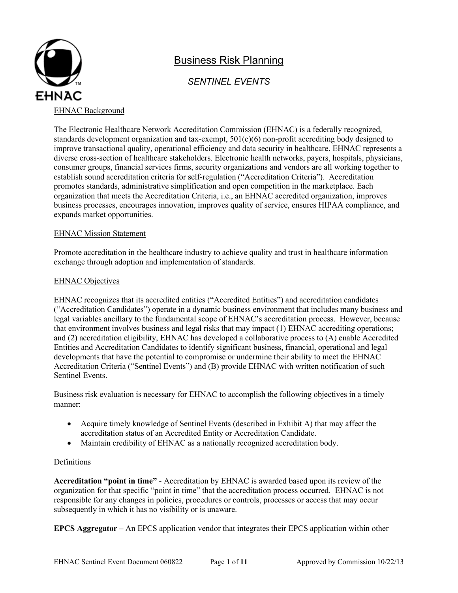

# Business Risk Planning

# *SENTINEL EVENTS*

## EHNAC Background

The Electronic Healthcare Network Accreditation Commission (EHNAC) is a federally recognized, standards development organization and tax-exempt, 501(c)(6) non-profit accrediting body designed to improve transactional quality, operational efficiency and data security in healthcare. EHNAC represents a diverse cross-section of healthcare stakeholders. Electronic health networks, payers, hospitals, physicians, consumer groups, financial services firms, security organizations and vendors are all working together to establish sound accreditation criteria for self-regulation ("Accreditation Criteria"). Accreditation promotes standards, administrative simplification and open competition in the marketplace. Each organization that meets the Accreditation Criteria, i.e., an EHNAC accredited organization, improves business processes, encourages innovation, improves quality of service, ensures HIPAA compliance, and expands market opportunities.

#### EHNAC Mission Statement

Promote accreditation in the healthcare industry to achieve quality and trust in healthcare information exchange through adoption and implementation of standards.

## **EHNAC Objectives**

EHNAC recognizes that its accredited entities ("Accredited Entities") and accreditation candidates ("Accreditation Candidates") operate in a dynamic business environment that includes many business and legal variables ancillary to the fundamental scope of EHNAC's accreditation process. However, because that environment involves business and legal risks that may impact (1) EHNAC accrediting operations; and (2) accreditation eligibility, EHNAC has developed a collaborative process to (A) enable Accredited Entities and Accreditation Candidates to identify significant business, financial, operational and legal developments that have the potential to compromise or undermine their ability to meet the EHNAC Accreditation Criteria ("Sentinel Events") and (B) provide EHNAC with written notification of such Sentinel Events.

Business risk evaluation is necessary for EHNAC to accomplish the following objectives in a timely manner:

- Acquire timely knowledge of Sentinel Events (described in Exhibit A) that may affect the accreditation status of an Accredited Entity or Accreditation Candidate.
- Maintain credibility of EHNAC as a nationally recognized accreditation body.

## Definitions

**Accreditation "point in time"** - Accreditation by EHNAC is awarded based upon its review of the organization for that specific "point in time" that the accreditation process occurred. EHNAC is not responsible for any changes in policies, procedures or controls, processes or access that may occur subsequently in which it has no visibility or is unaware.

**EPCS Aggregator** – An EPCS application vendor that integrates their EPCS application within other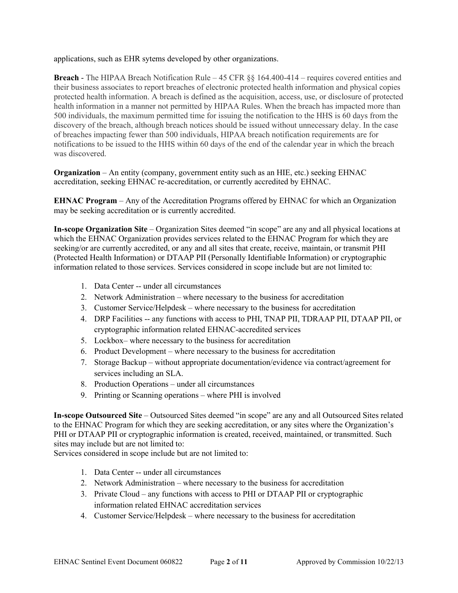applications, such as EHR sytems developed by other organizations.

**Breach** - The HIPAA Breach Notification Rule – 45 CFR §§ 164.400-414 – requires covered entities and their business associates to report breaches of electronic protected health information and physical copies protected health information. A breach is defined as the acquisition, access, use, or disclosure of protected health information in a manner not permitted by HIPAA Rules. When the breach has impacted more than 500 individuals, the maximum permitted time for issuing the notification to the HHS is 60 days from the discovery of the breach, although breach notices should be issued without unnecessary delay. In the case of breaches impacting fewer than 500 individuals, HIPAA breach notification requirements are for notifications to be issued to the HHS within 60 days of the end of the calendar year in which the breach was discovered.

**Organization** – An entity (company, government entity such as an HIE, etc.) seeking EHNAC accreditation, seeking EHNAC re-accreditation, or currently accredited by EHNAC.

**EHNAC Program** – Any of the Accreditation Programs offered by EHNAC for which an Organization may be seeking accreditation or is currently accredited.

<span id="page-1-0"></span>**In-scope Organization Site** – Organization Sites deemed "in scope" are any and all physical locations at which the EHNAC Organization provides services related to the EHNAC Program for which they are seeking/or are currently accredited, or any and all sites that create, receive, maintain, or transmit PHI (Protected Health Information) or DTAAP PII (Personally Identifiable Information) or cryptographic information related to those services. Services considered in scope include but are not limited to:

- 1. Data Center -- under all circumstances
- 2. Network Administration where necessary to the business for accreditation
- 3. Customer Service/Helpdesk where necessary to the business for accreditation
- 4. DRP Facilities -- any functions with access to PHI, TNAP PII, TDRAAP PII, DTAAP PII, or cryptographic information related EHNAC-accredited services
- 5. Lockbox– where necessary to the business for accreditation
- 6. Product Development where necessary to the business for accreditation
- 7. Storage Backup without appropriate documentation/evidence via contract/agreement for services including an SLA.
- 8. Production Operations under all circumstances
- 9. Printing or Scanning operations where PHI is involved

<span id="page-1-1"></span>**In-scope Outsourced Site** – Outsourced Sites deemed "in scope" are any and all Outsourced Sites related to the EHNAC Program for which they are seeking accreditation, or any sites where the Organization's PHI or DTAAP PII or cryptographic information is created, received, maintained, or transmitted. Such sites may include but are not limited to:

Services considered in scope include but are not limited to:

- 1. Data Center -- under all circumstances
- 2. Network Administration where necessary to the business for accreditation
- 3. Private Cloud any functions with access to PHI or DTAAP PII or cryptographic information related EHNAC accreditation services
- 4. Customer Service/Helpdesk where necessary to the business for accreditation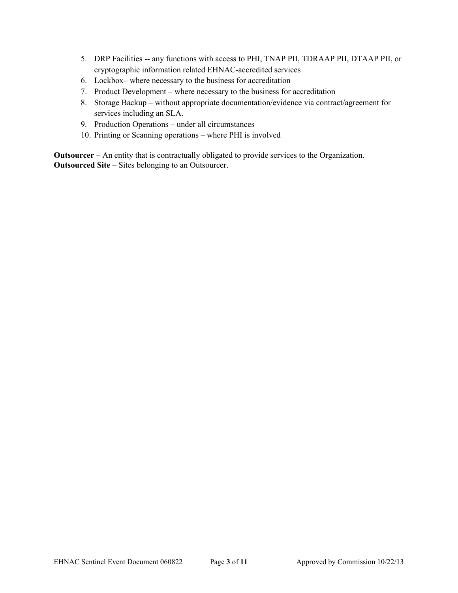- 5. DRP Facilities -- any functions with access to PHI, TNAP PII, TDRAAP PII, DTAAP PII, or cryptographic information related EHNAC-accredited services
- 6. Lockbox– where necessary to the business for accreditation
- 7. Product Development where necessary to the business for accreditation
- 8. Storage Backup without appropriate documentation/evidence via contract/agreement for services including an SLA.
- 9. Production Operations under all circumstances
- 10. Printing or Scanning operations where PHI is involved

**Outsourcer** – An entity that is contractually obligated to provide services to the Organization. **Outsourced Site** – Sites belonging to an Outsourcer.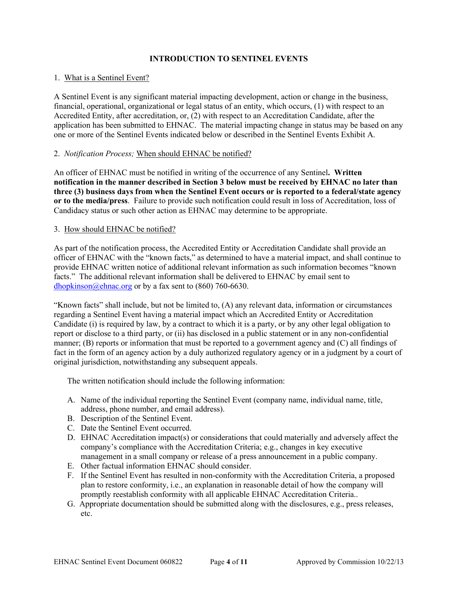## **INTRODUCTION TO SENTINEL EVENTS**

#### 1. What is a Sentinel Event?

A Sentinel Event is any significant material impacting development, action or change in the business, financial, operational, organizational or legal status of an entity, which occurs, (1) with respect to an Accredited Entity, after accreditation, or, (2) with respect to an Accreditation Candidate, after the application has been submitted to EHNAC. The material impacting change in status may be based on any one or more of the Sentinel Events indicated below or described in the Sentinel Events Exhibit A.

#### 2. *Notification Process;* When should EHNAC be notified?

An officer of EHNAC must be notified in writing of the occurrence of any Sentinel**. Written notification in the manner described in Section 3 below must be received by EHNAC no later than three (3) business days from when the Sentinel Event occurs or is reported to a federal/state agency or to the media/press**. Failure to provide such notification could result in loss of Accreditation, loss of Candidacy status or such other action as EHNAC may determine to be appropriate.

#### 3. How should EHNAC be notified?

As part of the notification process, the Accredited Entity or Accreditation Candidate shall provide an officer of EHNAC with the "known facts," as determined to have a material impact, and shall continue to provide EHNAC written notice of additional relevant information as such information becomes "known facts." The additional relevant information shall be delivered to EHNAC by email sent to [dhopkinson@ehnac.org](mailto:dhopkinson@ehnac.org) or by a fax sent to  $(860)$  760-6630.

"Known facts" shall include, but not be limited to, (A) any relevant data, information or circumstances regarding a Sentinel Event having a material impact which an Accredited Entity or Accreditation Candidate (i) is required by law, by a contract to which it is a party, or by any other legal obligation to report or disclose to a third party, or (ii) has disclosed in a public statement or in any non-confidential manner; (B) reports or information that must be reported to a government agency and (C) all findings of fact in the form of an agency action by a duly authorized regulatory agency or in a judgment by a court of original jurisdiction, notwithstanding any subsequent appeals.

The written notification should include the following information:

- A. Name of the individual reporting the Sentinel Event (company name, individual name, title, address, phone number, and email address).
- B. Description of the Sentinel Event.
- C. Date the Sentinel Event occurred.
- D. EHNAC Accreditation impact(s) or considerations that could materially and adversely affect the company's compliance with the Accreditation Criteria; e.g., changes in key executive management in a small company or release of a press announcement in a public company.
- E. Other factual information EHNAC should consider.
- F. If the Sentinel Event has resulted in non-conformity with the Accreditation Criteria, a proposed plan to restore conformity, i.e., an explanation in reasonable detail of how the company will promptly reestablish conformity with all applicable EHNAC Accreditation Criteria..
- G. Appropriate documentation should be submitted along with the disclosures, e.g., press releases, etc.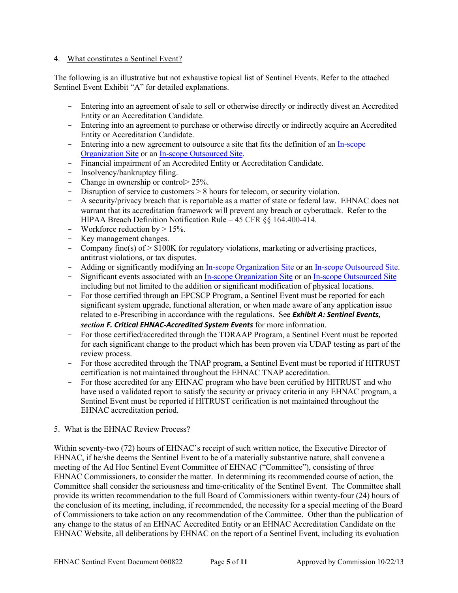#### 4. What constitutes a Sentinel Event?

The following is an illustrative but not exhaustive topical list of Sentinel Events. Refer to the attached Sentinel Event Exhibit "A" for detailed explanations.

- Entering into an agreement of sale to sell or otherwise directly or indirectly divest an Accredited Entity or an Accreditation Candidate.
- Entering into an agreement to purchase or otherwise directly or indirectly acquire an Accredited Entity or Accreditation Candidate.
- Entering into a new agreement to outsource a site that fits the definition of an In-scope [Organization Site](#page-1-0) or an [In-scope Outsourced Site.](#page-1-1)
- Financial impairment of an Accredited Entity or Accreditation Candidate.
- Insolvency/bankruptcy filing.
- Change in ownership or control > 25%.
- Disruption of service to customers  $> 8$  hours for telecom, or security violation.
- A security/privacy breach that is reportable as a matter of state or federal law. EHNAC does not warrant that its accreditation framework will prevent any breach or cyberattack. Refer to the HIPAA Breach Definition Notification Rule – 45 CFR §§ 164.400-414.
- Workforce reduction by  $> 15\%$ .
- Key management changes.
- Company fine(s) of > \$100K for regulatory violations, marketing or advertising practices, antitrust violations, or tax disputes.
- Adding or significantly modifying an [In-scope Organization](#page-1-0) Site or an [In-scope Outsourced Site.](#page-1-1)
- Significant events associated with an [In-scope Organization Site](#page-1-0) or an [In-scope Outsourced Site](#page-1-1) including but not limited to the addition or significant modification of physical locations.
- For those certified through an EPCSCP Program, a Sentinel Event must be reported for each significant system upgrade, functional alteration, or when made aware of any application issue related to e-Prescribing in accordance with the regulations. See *Exhibit A: Sentinel Events, section F. Critical EHNAC-Accredited System Events* for more information.
- For those certified/accredited through the TDRAAP Program, a Sentinel Event must be reported for each significant change to the product which has been proven via UDAP testing as part of the review process.
- For those accredited through the TNAP program, a Sentinel Event must be reported if HITRUST certification is not maintained throughout the EHNAC TNAP accreditation.
- For those accredited for any EHNAC program who have been certified by HITRUST and who have used a validated report to satisfy the security or privacy criteria in any EHNAC program, a Sentinel Event must be reported if HITRUST cerification is not maintained throughout the EHNAC accreditation period.

#### 5. What is the EHNAC Review Process?

Within seventy-two (72) hours of EHNAC's receipt of such written notice, the Executive Director of EHNAC, if he/she deems the Sentinel Event to be of a materially substantive nature, shall convene a meeting of the Ad Hoc Sentinel Event Committee of EHNAC ("Committee"), consisting of three EHNAC Commissioners, to consider the matter. In determining its recommended course of action, the Committee shall consider the seriousness and time-criticality of the Sentinel Event. The Committee shall provide its written recommendation to the full Board of Commissioners within twenty-four (24) hours of the conclusion of its meeting, including, if recommended, the necessity for a special meeting of the Board of Commissioners to take action on any recommendation of the Committee. Other than the publication of any change to the status of an EHNAC Accredited Entity or an EHNAC Accreditation Candidate on the EHNAC Website, all deliberations by EHNAC on the report of a Sentinel Event, including its evaluation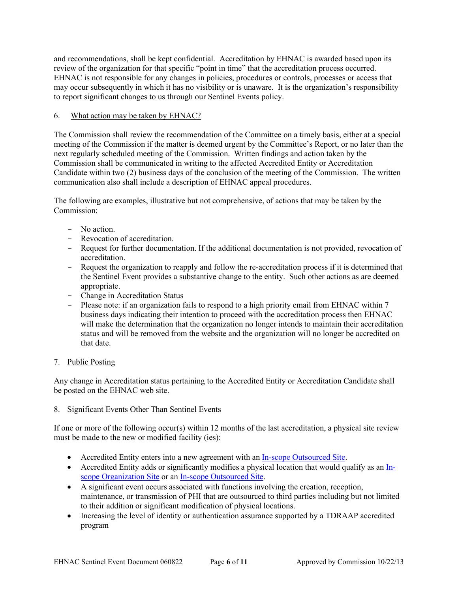and recommendations, shall be kept confidential. Accreditation by EHNAC is awarded based upon its review of the organization for that specific "point in time" that the accreditation process occurred. EHNAC is not responsible for any changes in policies, procedures or controls, processes or access that may occur subsequently in which it has no visibility or is unaware. It is the organization's responsibility to report significant changes to us through our Sentinel Events policy.

### 6. What action may be taken by EHNAC?

The Commission shall review the recommendation of the Committee on a timely basis, either at a special meeting of the Commission if the matter is deemed urgent by the Committee's Report, or no later than the next regularly scheduled meeting of the Commission. Written findings and action taken by the Commission shall be communicated in writing to the affected Accredited Entity or Accreditation Candidate within two (2) business days of the conclusion of the meeting of the Commission. The written communication also shall include a description of EHNAC appeal procedures.

The following are examples, illustrative but not comprehensive, of actions that may be taken by the Commission:

- No action.
- Revocation of accreditation.
- Request for further documentation. If the additional documentation is not provided, revocation of accreditation.
- Request the organization to reapply and follow the re-accreditation process if it is determined that the Sentinel Event provides a substantive change to the entity. Such other actions as are deemed appropriate.
- Change in Accreditation Status
- Please note: if an organization fails to respond to a high priority email from EHNAC within 7 business days indicating their intention to proceed with the accreditation process then EHNAC will make the determination that the organization no longer intends to maintain their accreditation status and will be removed from the website and the organization will no longer be accredited on that date.

## 7. Public Posting

Any change in Accreditation status pertaining to the Accredited Entity or Accreditation Candidate shall be posted on the EHNAC web site.

## 8. Significant Events Other Than Sentinel Events

If one or more of the following occur(s) within 12 months of the last accreditation, a physical site review must be made to the new or modified facility (ies):

- Accredited Entity enters into a new agreement with an [In-scope Outsourced Site.](#page-1-1)
- Accredited Entity adds or significantly modifies a physical location that would qualify as an [In](#page-1-0)[scope Organization](#page-1-0) Site or an [In-scope Outsourced Site.](#page-1-1)
- A significant event occurs associated with functions involving the creation, reception, maintenance, or transmission of PHI that are outsourced to third parties including but not limited to their addition or significant modification of physical locations.
- Increasing the level of identity or authentication assurance supported by a TDRAAP accredited program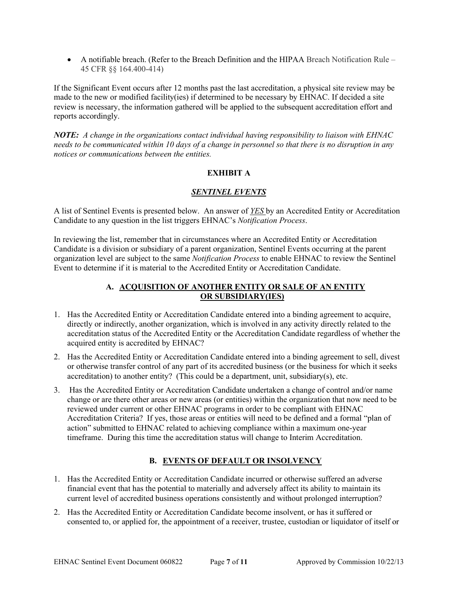• A notifiable breach. (Refer to the Breach Definition and the HIPAA Breach Notification Rule – 45 CFR §§ 164.400-414)

If the Significant Event occurs after 12 months past the last accreditation, a physical site review may be made to the new or modified facility(ies) if determined to be necessary by EHNAC. If decided a site review is necessary, the information gathered will be applied to the subsequent accreditation effort and reports accordingly.

*NOTE: A change in the organizations contact individual having responsibility to liaison with EHNAC needs to be communicated within 10 days of a change in personnel so that there is no disruption in any notices or communications between the entities.*

# **EXHIBIT A**

## *SENTINEL EVENTS*

A list of Sentinel Events is presented below. An answer of *YES* by an Accredited Entity or Accreditation Candidate to any question in the list triggers EHNAC's *Notification Process*.

In reviewing the list, remember that in circumstances where an Accredited Entity or Accreditation Candidate is a division or subsidiary of a parent organization, Sentinel Events occurring at the parent organization level are subject to the same *Notification Process* to enable EHNAC to review the Sentinel Event to determine if it is material to the Accredited Entity or Accreditation Candidate.

## **A. ACQUISITION OF ANOTHER ENTITY OR SALE OF AN ENTITY OR SUBSIDIARY(IES)**

- 1. Has the Accredited Entity or Accreditation Candidate entered into a binding agreement to acquire, directly or indirectly, another organization, which is involved in any activity directly related to the accreditation status of the Accredited Entity or the Accreditation Candidate regardless of whether the acquired entity is accredited by EHNAC?
- 2. Has the Accredited Entity or Accreditation Candidate entered into a binding agreement to sell, divest or otherwise transfer control of any part of its accredited business (or the business for which it seeks accreditation) to another entity? (This could be a department, unit, subsidiary(s), etc.
- 3. Has the Accredited Entity or Accreditation Candidate undertaken a change of control and/or name change or are there other areas or new areas (or entities) within the organization that now need to be reviewed under current or other EHNAC programs in order to be compliant with EHNAC Accreditation Criteria? If yes, those areas or entities will need to be defined and a formal "plan of action" submitted to EHNAC related to achieving compliance within a maximum one-year timeframe. During this time the accreditation status will change to Interim Accreditation.

## **B. EVENTS OF DEFAULT OR INSOLVENCY**

- 1. Has the Accredited Entity or Accreditation Candidate incurred or otherwise suffered an adverse financial event that has the potential to materially and adversely affect its ability to maintain its current level of accredited business operations consistently and without prolonged interruption?
- 2. Has the Accredited Entity or Accreditation Candidate become insolvent, or has it suffered or consented to, or applied for, the appointment of a receiver, trustee, custodian or liquidator of itself or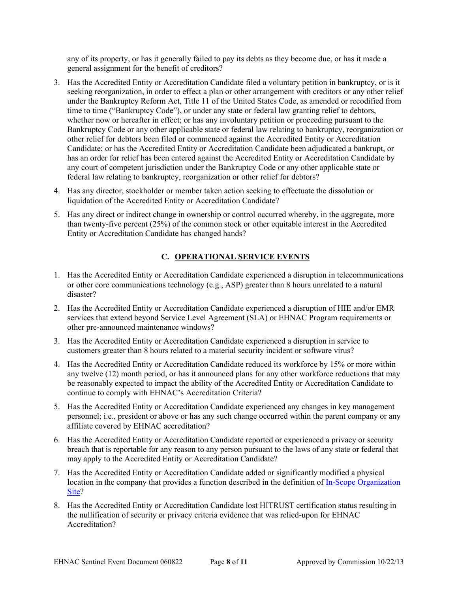any of its property, or has it generally failed to pay its debts as they become due, or has it made a general assignment for the benefit of creditors?

- 3. Has the Accredited Entity or Accreditation Candidate filed a voluntary petition in bankruptcy, or is it seeking reorganization, in order to effect a plan or other arrangement with creditors or any other relief under the Bankruptcy Reform Act, Title 11 of the United States Code, as amended or recodified from time to time ("Bankruptcy Code"), or under any state or federal law granting relief to debtors, whether now or hereafter in effect; or has any involuntary petition or proceeding pursuant to the Bankruptcy Code or any other applicable state or federal law relating to bankruptcy, reorganization or other relief for debtors been filed or commenced against the Accredited Entity or Accreditation Candidate; or has the Accredited Entity or Accreditation Candidate been adjudicated a bankrupt, or has an order for relief has been entered against the Accredited Entity or Accreditation Candidate by any court of competent jurisdiction under the Bankruptcy Code or any other applicable state or federal law relating to bankruptcy, reorganization or other relief for debtors?
- 4. Has any director, stockholder or member taken action seeking to effectuate the dissolution or liquidation of the Accredited Entity or Accreditation Candidate?
- 5. Has any direct or indirect change in ownership or control occurred whereby, in the aggregate, more than twenty-five percent (25%) of the common stock or other equitable interest in the Accredited Entity or Accreditation Candidate has changed hands?

# **C. OPERATIONAL SERVICE EVENTS**

- 1. Has the Accredited Entity or Accreditation Candidate experienced a disruption in telecommunications or other core communications technology (e.g., ASP) greater than 8 hours unrelated to a natural disaster?
- 2. Has the Accredited Entity or Accreditation Candidate experienced a disruption of HIE and/or EMR services that extend beyond Service Level Agreement (SLA) or EHNAC Program requirements or other pre-announced maintenance windows?
- 3. Has the Accredited Entity or Accreditation Candidate experienced a disruption in service to customers greater than 8 hours related to a material security incident or software virus?
- 4. Has the Accredited Entity or Accreditation Candidate reduced its workforce by 15% or more within any twelve (12) month period, or has it announced plans for any other workforce reductions that may be reasonably expected to impact the ability of the Accredited Entity or Accreditation Candidate to continue to comply with EHNAC's Accreditation Criteria?
- 5. Has the Accredited Entity or Accreditation Candidate experienced any changes in key management personnel; i.e., president or above or has any such change occurred within the parent company or any affiliate covered by EHNAC accreditation?
- 6. Has the Accredited Entity or Accreditation Candidate reported or experienced a privacy or security breach that is reportable for any reason to any person pursuant to the laws of any state or federal that may apply to the Accredited Entity or Accreditation Candidate?
- 7. Has the Accredited Entity or Accreditation Candidate added or significantly modified a physical location in the company that provides a function described in the definition of [In-Scope Organization](#page-1-0)  [Site?](#page-1-0)
- 8. Has the Accredited Entity or Accreditation Candidate lost HITRUST certification status resulting in the nullification of security or privacy criteria evidence that was relied-upon for EHNAC Accreditation?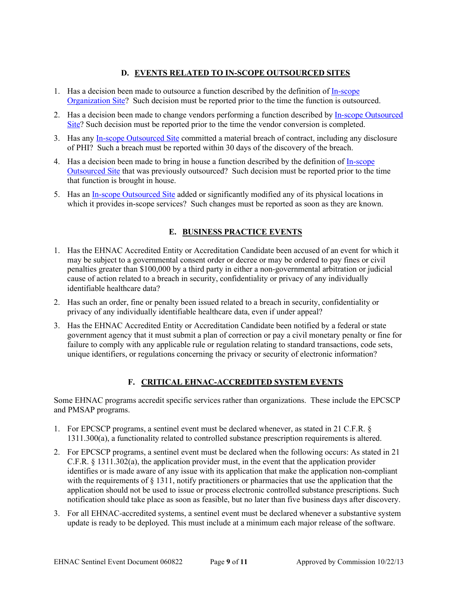## **D. EVENTS RELATED TO IN-SCOPE OUTSOURCED SITES**

- 1. Has a decision been made to outsource a function described by the definition of [In-scope](#page-1-0) [Organization Site?](#page-1-0) Such decision must be reported prior to the time the function is outsourced.
- 2. Has a decision been made to change vendors performing a function described by [In-scope Outsourced](#page-1-1)  [Site?](#page-1-1) Such decision must be reported prior to the time the vendor conversion is completed.
- 3. Has any [In-scope Outsourced Site](#page-1-1) committed a material breach of contract, including any disclosure of PHI? Such a breach must be reported within 30 days of the discovery of the breach.
- 4. Has a decision been made to bring in house a function described by the definition of [In-scope](#page-1-1)  [Outsourced Site](#page-1-1) that was previously outsourced? Such decision must be reported prior to the time that function is brought in house.
- 5. Has an [In-scope Outsourced Site](#page-1-0) added or significantly modified any of its physical locations in which it provides in-scope services? Such changes must be reported as soon as they are known.

## **E. BUSINESS PRACTICE EVENTS**

- 1. Has the EHNAC Accredited Entity or Accreditation Candidate been accused of an event for which it may be subject to a governmental consent order or decree or may be ordered to pay fines or civil penalties greater than \$100,000 by a third party in either a non-governmental arbitration or judicial cause of action related to a breach in security, confidentiality or privacy of any individually identifiable healthcare data?
- 2. Has such an order, fine or penalty been issued related to a breach in security, confidentiality or privacy of any individually identifiable healthcare data, even if under appeal?
- 3. Has the EHNAC Accredited Entity or Accreditation Candidate been notified by a federal or state government agency that it must submit a plan of correction or pay a civil monetary penalty or fine for failure to comply with any applicable rule or regulation relating to standard transactions, code sets, unique identifiers, or regulations concerning the privacy or security of electronic information?

## **F. CRITICAL EHNAC-ACCREDITED SYSTEM EVENTS**

Some EHNAC programs accredit specific services rather than organizations. These include the EPCSCP and PMSAP programs.

- 1. For EPCSCP programs, a sentinel event must be declared whenever, as stated in 21 C.F.R. § 1311.300(a), a functionality related to controlled substance prescription requirements is altered.
- 2. For EPCSCP programs, a sentinel event must be declared when the following occurs: As stated in 21 C.F.R. § 1311.302(a), the application provider must, in the event that the application provider identifies or is made aware of any issue with its application that make the application non-compliant with the requirements of § 1311, notify practitioners or pharmacies that use the application that the application should not be used to issue or process electronic controlled substance prescriptions. Such notification should take place as soon as feasible, but no later than five business days after discovery.
- 3. For all EHNAC-accredited systems, a sentinel event must be declared whenever a substantive system update is ready to be deployed. This must include at a minimum each major release of the software.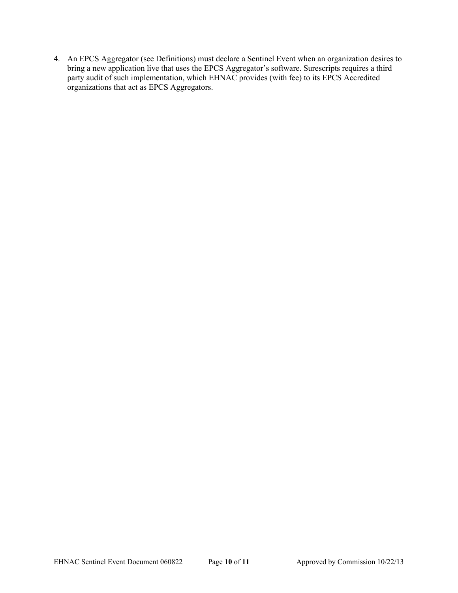4. An EPCS Aggregator (see Definitions) must declare a Sentinel Event when an organization desires to bring a new application live that uses the EPCS Aggregator's software. Surescripts requires a third party audit of such implementation, which EHNAC provides (with fee) to its EPCS Accredited organizations that act as EPCS Aggregators.